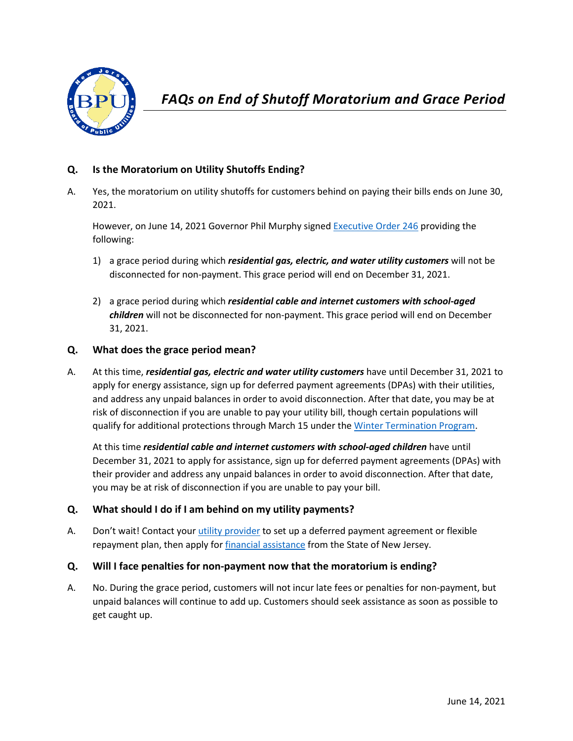

# **Q. Is the Moratorium on Utility Shutoffs Ending?**

A. Yes, the moratorium on utility shutoffs for customers behind on paying their bills ends on June 30, 2021.

However, on June 14, 2021 Governor Phil Murphy signed [Executive Order 246](https://www.nj.gov/infobank/eo/056murphy/pdf/EO-246.pdf) providing the following:

- 1) a grace period during which *residential gas, electric, and water utility customers* will not be disconnected for non-payment. This grace period will end on December 31, 2021.
- 2) a grace period during which *residential cable and internet customers with school-aged children* will not be disconnected for non-payment. This grace period will end on December 31, 2021.

#### **Q. What does the grace period mean?**

A. At this time, *residential gas, electric and water utility customers* have until December 31, 2021 to apply for energy assistance, sign up for deferred payment agreements (DPAs) with their utilities, and address any unpaid balances in order to avoid disconnection. After that date, you may be at risk of disconnection if you are unable to pay your utility bill, though certain populations will qualify for additional protections through March 15 under the [Winter Termination Program.](https://www.state.nj.us/bpu/assistance/programs/)

At this time *residential cable and internet customers with school-aged children* have until December 31, 2021 to apply for assistance, sign up for deferred payment agreements (DPAs) with their provider and address any unpaid balances in order to avoid disconnection. After that date, you may be at risk of disconnection if you are unable to pay your bill.

## **Q. What should I do if I am behind on my utility payments?**

A. Don't wait! Contact your [utility provider](https://www.nj.gov/bpu/assistance/utility/) to set up a deferred payment agreement or flexible repayment plan, then apply fo[r financial assistance](https://www.nj.gov/bpu/assistance/programs/) from the State of New Jersey.

## **Q. Will I face penalties for non-payment now that the moratorium is ending?**

A. No. During the grace period, customers will not incur late fees or penalties for non-payment, but unpaid balances will continue to add up. Customers should seek assistance as soon as possible to get caught up.